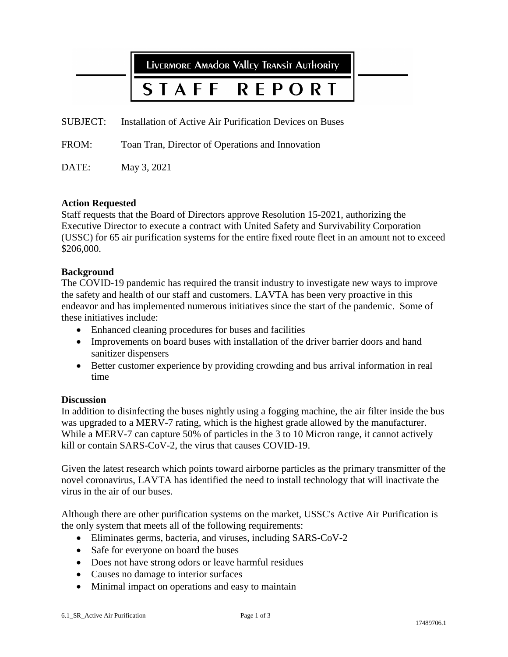LIVERMORE AMAdOR VALLEY TRANSIT AUTHORITY

#### REPORT **STAFF**

SUBJECT: Installation of Active Air Purification Devices on Buses

FROM: Toan Tran, Director of Operations and Innovation

DATE: May 3, 2021

## **Action Requested**

Staff requests that the Board of Directors approve Resolution 15-2021, authorizing the Executive Director to execute a contract with United Safety and Survivability Corporation (USSC) for 65 air purification systems for the entire fixed route fleet in an amount not to exceed \$206,000.

#### **Background**

The COVID-19 pandemic has required the transit industry to investigate new ways to improve the safety and health of our staff and customers. LAVTA has been very proactive in this endeavor and has implemented numerous initiatives since the start of the pandemic. Some of these initiatives include:

- Enhanced cleaning procedures for buses and facilities
- Improvements on board buses with installation of the driver barrier doors and hand sanitizer dispensers
- Better customer experience by providing crowding and bus arrival information in real time

#### **Discussion**

In addition to disinfecting the buses nightly using a fogging machine, the air filter inside the bus was upgraded to a MERV-7 rating, which is the highest grade allowed by the manufacturer. While a MERV-7 can capture 50% of particles in the 3 to 10 Micron range, it cannot actively kill or contain SARS-CoV-2, the virus that causes COVID-19.

Given the latest research which points toward airborne particles as the primary transmitter of the novel coronavirus, LAVTA has identified the need to install technology that will inactivate the virus in the air of our buses.

Although there are other purification systems on the market, USSC's Active Air Purification is the only system that meets all of the following requirements:

- Eliminates germs, bacteria, and viruses, including SARS-CoV-2
- Safe for everyone on board the buses
- Does not have strong odors or leave harmful residues
- Causes no damage to interior surfaces
- Minimal impact on operations and easy to maintain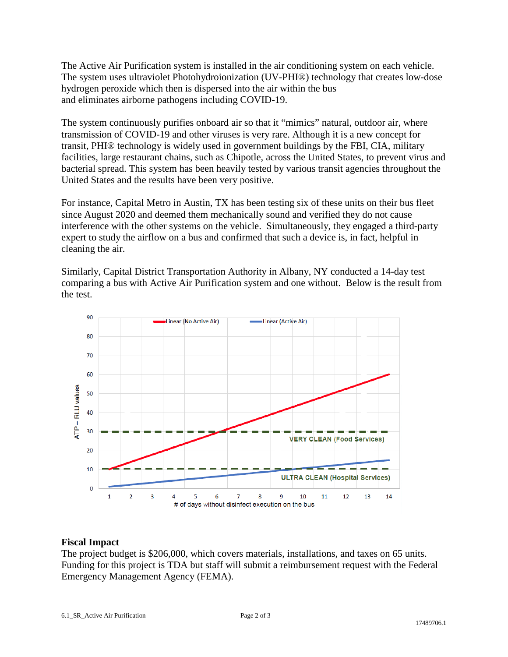The Active Air Purification system is installed in the air conditioning system on each vehicle. The system uses ultraviolet Photohydroionization (UV-PHI®) technology that creates low-dose hydrogen peroxide which then is dispersed into the air within the bus and eliminates airborne pathogens including COVID-19.

The system continuously purifies onboard air so that it "mimics" natural, outdoor air, where transmission of COVID-19 and other viruses is very rare. Although it is a new concept for transit, PHI® technology is widely used in government buildings by the FBI, CIA, military facilities, large restaurant chains, such as Chipotle, across the United States, to prevent virus and bacterial spread. This system has been heavily tested by various transit agencies throughout the United States and the results have been very positive.

For instance, Capital Metro in Austin, TX has been testing six of these units on their bus fleet since August 2020 and deemed them mechanically sound and verified they do not cause interference with the other systems on the vehicle. Simultaneously, they engaged a third-party expert to study the airflow on a bus and confirmed that such a device is, in fact, helpful in cleaning the air.

Similarly, Capital District Transportation Authority in Albany, NY conducted a 14-day test comparing a bus with Active Air Purification system and one without. Below is the result from the test.



# **Fiscal Impact**

The project budget is \$206,000, which covers materials, installations, and taxes on 65 units. Funding for this project is TDA but staff will submit a reimbursement request with the Federal Emergency Management Agency (FEMA).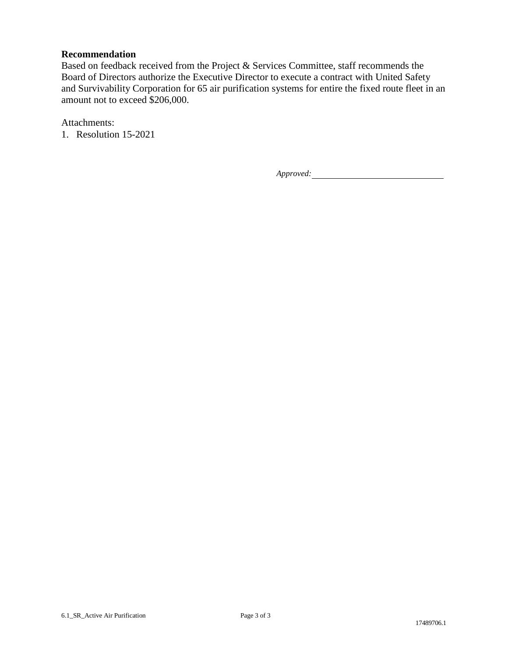# **Recommendation**

Based on feedback received from the Project & Services Committee, staff recommends the Board of Directors authorize the Executive Director to execute a contract with United Safety and Survivability Corporation for 65 air purification systems for entire the fixed route fleet in an amount not to exceed \$206,000.

Attachments:

1. Resolution 15-2021

*Approved:*